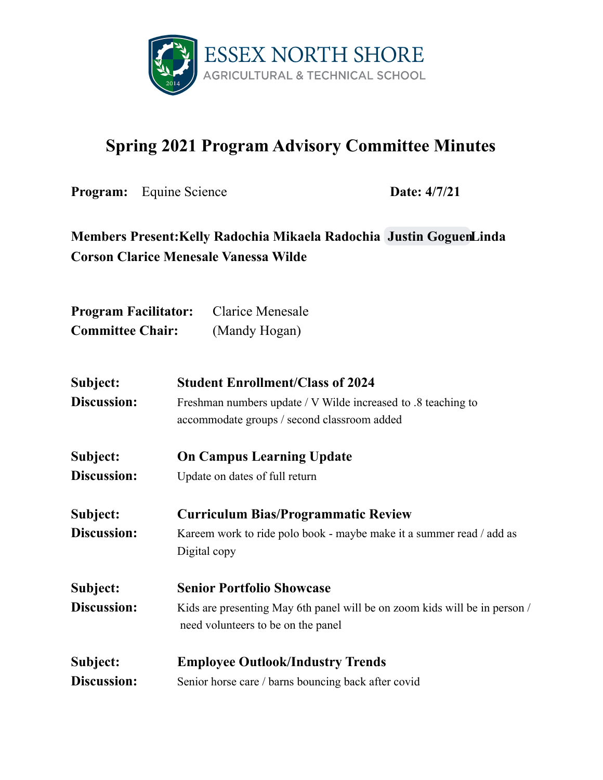

## **Spring 2021 Program Advisory Committee Minutes**

**Program:** Equine Science **Date:**  $4/7/21$ 

## **Members Present:Kelly Radochia Mikaela Radochia Justin [GoguenL](mailto:justingoguen@gmail.com)inda Corson Clarice Menesale Vanessa Wilde**

| <b>Program Facilitator:</b> | <b>Clarice Menesale</b> |
|-----------------------------|-------------------------|
| <b>Committee Chair:</b>     | (Mandy Hogan)           |

| Subject:           | <b>Student Enrollment/Class of 2024</b>                                    |  |
|--------------------|----------------------------------------------------------------------------|--|
| Discussion:        | Freshman numbers update / V Wilde increased to .8 teaching to              |  |
|                    | accommodate groups / second classroom added                                |  |
| Subject:           | <b>On Campus Learning Update</b>                                           |  |
| <b>Discussion:</b> | Update on dates of full return                                             |  |
| Subject:           | <b>Curriculum Bias/Programmatic Review</b>                                 |  |
| Discussion:        | Kareem work to ride polo book - maybe make it a summer read / add as       |  |
|                    | Digital copy                                                               |  |
| Subject:           | <b>Senior Portfolio Showcase</b>                                           |  |
| Discussion:        | Kids are presenting May 6th panel will be on zoom kids will be in person / |  |
|                    | need volunteers to be on the panel                                         |  |
| Subject:           | <b>Employee Outlook/Industry Trends</b>                                    |  |
| <b>Discussion:</b> | Senior horse care / barns bouncing back after covid                        |  |